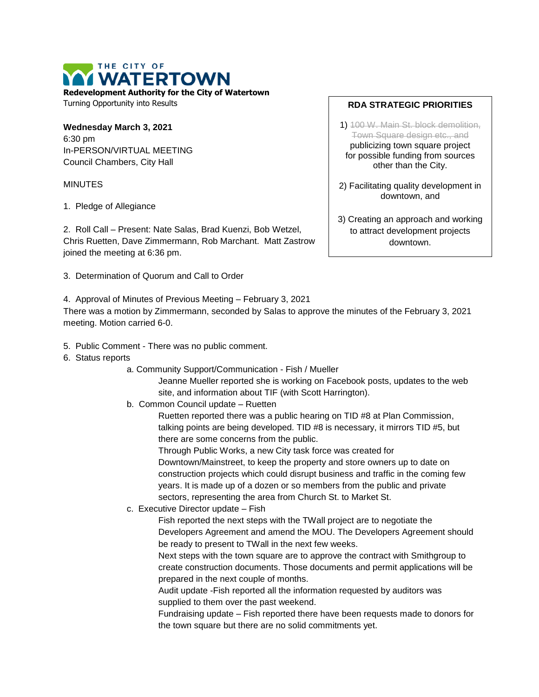THE CITY OF **I WATERTOWN Redevelopment Authority for the City of Watertown**

Turning Opportunity into Results

**Wednesday March 3, 2021** 6:30 pm In-PERSON/VIRTUAL MEETING Council Chambers, City Hall

## **MINUTES**

1. Pledge of Allegiance

2. Roll Call – Present: Nate Salas, Brad Kuenzi, Bob Wetzel, Chris Ruetten, Dave Zimmermann, Rob Marchant. Matt Zastrow joined the meeting at 6:36 pm.

- 3. Determination of Quorum and Call to Order
- 4. Approval of Minutes of Previous Meeting February 3, 2021

There was a motion by Zimmermann, seconded by Salas to approve the minutes of the February 3, 2021 meeting. Motion carried 6-0.

- 5. Public Comment There was no public comment.
- 6. Status reports
	- a. Community Support/Communication Fish / Mueller

Jeanne Mueller reported she is working on Facebook posts, updates to the web site, and information about TIF (with Scott Harrington).

b. Common Council update – Ruetten

Ruetten reported there was a public hearing on TID #8 at Plan Commission, talking points are being developed. TID #8 is necessary, it mirrors TID #5, but there are some concerns from the public.

Through Public Works, a new City task force was created for Downtown/Mainstreet, to keep the property and store owners up to date on construction projects which could disrupt business and traffic in the coming few years. It is made up of a dozen or so members from the public and private sectors, representing the area from Church St. to Market St.

c. Executive Director update – Fish

Fish reported the next steps with the TWall project are to negotiate the Developers Agreement and amend the MOU. The Developers Agreement should be ready to present to TWall in the next few weeks.

Next steps with the town square are to approve the contract with Smithgroup to create construction documents. Those documents and permit applications will be prepared in the next couple of months.

Audit update -Fish reported all the information requested by auditors was supplied to them over the past weekend.

Fundraising update – Fish reported there have been requests made to donors for the town square but there are no solid commitments yet.

## **RDA STRATEGIC PRIORITIES**

- 1) 100 W. Main St. block demolition, Town Square design etc., and publicizing town square project for possible funding from sources other than the City.
- 2) Facilitating quality development in downtown, and
- 3) Creating an approach and working to attract development projects downtown.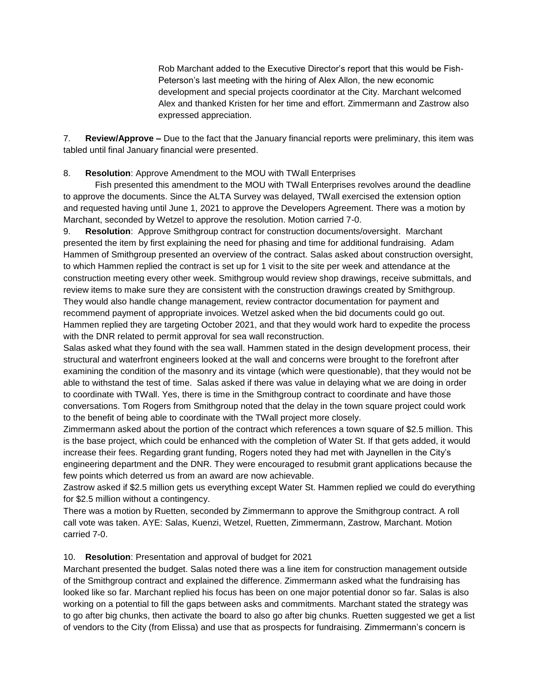Rob Marchant added to the Executive Director's report that this would be Fish-Peterson's last meeting with the hiring of Alex Allon, the new economic development and special projects coordinator at the City. Marchant welcomed Alex and thanked Kristen for her time and effort. Zimmermann and Zastrow also expressed appreciation.

7. **Review/Approve –** Due to the fact that the January financial reports were preliminary, this item was tabled until final January financial were presented.

## 8. **Resolution**: Approve Amendment to the MOU with TWall Enterprises

Fish presented this amendment to the MOU with TWall Enterprises revolves around the deadline to approve the documents. Since the ALTA Survey was delayed, TWall exercised the extension option and requested having until June 1, 2021 to approve the Developers Agreement. There was a motion by Marchant, seconded by Wetzel to approve the resolution. Motion carried 7-0.

9. **Resolution**: Approve Smithgroup contract for construction documents/oversight. Marchant presented the item by first explaining the need for phasing and time for additional fundraising. Adam Hammen of Smithgroup presented an overview of the contract. Salas asked about construction oversight, to which Hammen replied the contract is set up for 1 visit to the site per week and attendance at the construction meeting every other week. Smithgroup would review shop drawings, receive submittals, and review items to make sure they are consistent with the construction drawings created by Smithgroup. They would also handle change management, review contractor documentation for payment and recommend payment of appropriate invoices. Wetzel asked when the bid documents could go out. Hammen replied they are targeting October 2021, and that they would work hard to expedite the process with the DNR related to permit approval for sea wall reconstruction.

Salas asked what they found with the sea wall. Hammen stated in the design development process, their structural and waterfront engineers looked at the wall and concerns were brought to the forefront after examining the condition of the masonry and its vintage (which were questionable), that they would not be able to withstand the test of time. Salas asked if there was value in delaying what we are doing in order to coordinate with TWall. Yes, there is time in the Smithgroup contract to coordinate and have those conversations. Tom Rogers from Smithgroup noted that the delay in the town square project could work to the benefit of being able to coordinate with the TWall project more closely.

Zimmermann asked about the portion of the contract which references a town square of \$2.5 million. This is the base project, which could be enhanced with the completion of Water St. If that gets added, it would increase their fees. Regarding grant funding, Rogers noted they had met with Jaynellen in the City's engineering department and the DNR. They were encouraged to resubmit grant applications because the few points which deterred us from an award are now achievable.

Zastrow asked if \$2.5 million gets us everything except Water St. Hammen replied we could do everything for \$2.5 million without a contingency.

There was a motion by Ruetten, seconded by Zimmermann to approve the Smithgroup contract. A roll call vote was taken. AYE: Salas, Kuenzi, Wetzel, Ruetten, Zimmermann, Zastrow, Marchant. Motion carried 7-0.

## 10. **Resolution**: Presentation and approval of budget for 2021

Marchant presented the budget. Salas noted there was a line item for construction management outside of the Smithgroup contract and explained the difference. Zimmermann asked what the fundraising has looked like so far. Marchant replied his focus has been on one major potential donor so far. Salas is also working on a potential to fill the gaps between asks and commitments. Marchant stated the strategy was to go after big chunks, then activate the board to also go after big chunks. Ruetten suggested we get a list of vendors to the City (from Elissa) and use that as prospects for fundraising. Zimmermann's concern is